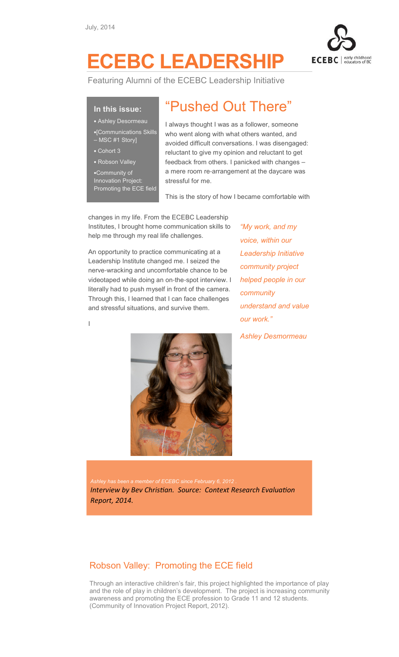

## ECEBC LEADERSHIP

Featuring Alumni of the ECEBC Leadership Initiative

## In this issue:

- Ashley Desormeau
- •[Communications Skills MSC #1 Story]
- Cohort 3

I

• Robson Valley

•Community of Innovation Project: Promoting the ECE field

## "Pushed Out There"

I always thought I was as a follower, someone who went along with what others wanted, and avoided difficult conversations. I was disengaged: reluctant to give my opinion and reluctant to get feedback from others. I panicked with changes – a mere room re-arrangement at the daycare was stressful for me.

This is the story of how I became comfortable with

changes in my life. From the ECEBC Leadership Institutes, I brought home communication skills to help me through my real life challenges.

An opportunity to practice communicating at a Leadership Institute changed me. I seized the nerve-wracking and uncomfortable chance to be videotaped while doing an on-the-spot interview. I literally had to push myself in front of the camera. Through this, I learned that I can face challenges and stressful situations, and survive them.

"My work, and my voice, within our Leadership Initiative community project helped people in our community understand and value our work."

Ashley Desmormeau



Ashley has been a member of ECEBC since February 6, 2012 Interview by Bev Christian. Source: Context Research Evaluation Report, 2014.

## Robson Valley: Promoting the ECE field

Through an interactive children's fair, this project highlighted the importance of play and the role of play in children's development. The project is increasing community awareness and promoting the ECE profession to Grade 11 and 12 students. (Community of Innovation Project Report, 2012).